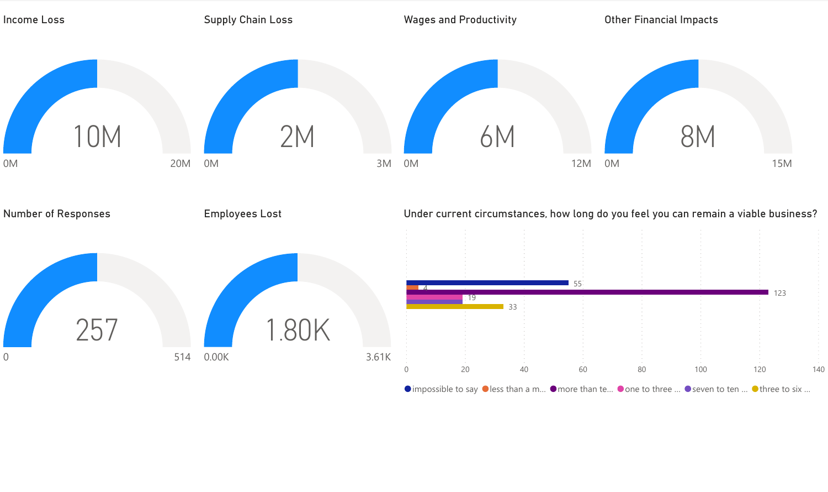

 $\bullet$  impossible to say  $\bullet$  less than a m...  $\bullet$  more than te...  $\bullet$  one to three ...  $\bullet$  seven to ten ...  $\bullet$  three to six ...